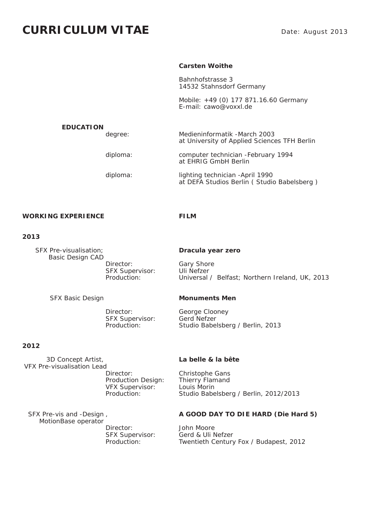# **CURRICULUM VITAE**

### **Carsten Woithe**

 Bahnhofstrasse 3 14532 Stahnsdorf Germany

 Mobile: +49 (0) 177 871.16.60 Germany E-mail: cawo@voxxl.de

### **EDUCATION**

 degree: Medieninformatik -March 2003 at University of Applied Sciences TFH Berlin

 diploma: computer technician -February 1994 at EHRIG GmbH Berlin

 diploma: lighting technician -April 1990 at DEFA Studios Berlin ( Studio Babelsberg )

## WORKING EXPERIENCE FILM

### **2013**

 SFX Pre-visualisation; **Dracula year zero** Basic Design CAD Director: Gary Shore SFX Supervisor: Uli Nefzer

SFX Supervisor: Gerd Nefzer

# **2012**

 3D Concept Artist, **La belle & la bête** VFX Pre-visualisation Lead Director: Christophe Gans Production Design: Thierry Flamand VFX Supervisor: Louis Morin

 MotionBase operator SFX Supervisor:

Production: Universal / Belfast; Northern Ireland, UK, 2013

### SFX Basic Design **Monuments Men**

 Director: George Clooney Production: Studio Babelsberg / Berlin, 2013

Production: Studio Babelsberg / Berlin, 2012/2013

### SFX Pre-vis and -Design , **A GOOD DAY TO DIE HARD (Die Hard 5)**

Director: John Moore<br>SEX Supervisor: Gerd & Uli Nefzer Production: Twentieth Century Fox / Budapest, 2012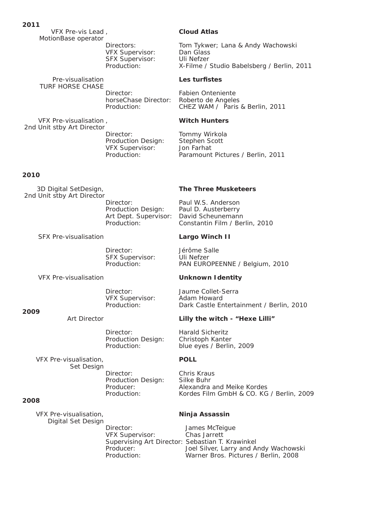VFX Pre-vis Lead , **Cloud Atlas** MotionBase operator

 VFX Supervisor: Dan Glass SFX Supervisor: Uli Nefzer

**Pre-visualisation Les turfistes** TURF HORSE CHASE

 Director: Fabien Onteniente horseChase Director: Roberto de Angeles

 VFX Pre-visualisation , **Witch Hunters** 2nd Unit stby Art Director Director: Tommy Wirkola Production Design: Stephen Scott VFX Supervisor: Jon Farhat

# **2010**

2nd Unit stby Art Director

SFX Pre-visualisation **Largo Winch II** 

Director:<br>SFX Supervisor: Uli Nefzer SFX Supervisor:

VFX Pre-visualisation **Unknown Identity** 

VFX Supervisor: Adam Howard

### **2009**

 Director: Harald Sicheritz Production Design: Christoph Kanter

 VFX Pre-visualisation, **POLL** Set Design

 Director: Chris Kraus Production Design: Silke Buhr

### **2008**

 VFX Pre-visualisation, **Ninja Assassin** Digital Set Design

Directors: Tom Tykwer; Lana & Andy Wachowski Production: X-Filme / Studio Babelsberg / Berlin, 2011

Production: CHEZ WAM / Paris & Berlin, 2011

Production: Paramount Pictures / Berlin, 2011

### 3D Digital SetDesign, **The Three Musketeers**

Director: Paul W.S. Anderson Production Design: Paul D. Austerberry Art Dept. Supervisor: David Scheunemann Production: Constantin Film / Berlin, 2010

Production: PAN EUROPEENNE / Belgium, 2010

 Director: Jaume Collet-Serra Production: Dark Castle Entertainment / Berlin, 2010

### Art Director **Lilly the witch - "Hexe Lilli"**

Production: blue eyes / Berlin, 2009

Producer: Alexandra and Meike Kordes Production: Kordes Film GmbH & CO. KG / Berlin, 2009

Director: James McTeigue<br>VFX Supervisor: Chas Jarrett VFX Supervisor: Supervising Art Director: Sebastian T. Krawinkel Producer: Joel Silver, Larry and Andy Wachowski<br>Production: Warner Bros. Pictures / Berlin. 2008 Warner Bros. Pictures / Berlin, 2008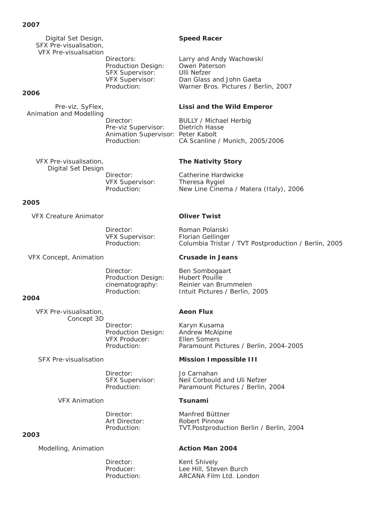### **2007**

 Digital Set Design, **Speed Racer** SFX Pre-visualisation, VFX Pre-visualisation

 Production Design: Owen Paterson SFX Supervisor: Ulli Nefzer

# **2006**

Animation and Modelling

 Pre-viz Supervisor: Dietrich Hasse Animation Supervisor: Peter Kabolt

 VFX Pre-visualisation, **The Nativity Story** Digital Set Design

VFX Supervisor: Theresa Rygiel

# **2005**

VFX Creature Animator **Oliver Twist**

Director: Roman Polanski

VFX Concept, Animation **Crusade in Jeans**

 Director: Ben Sombogaart Production Design: Hubert Pouille

# **2004**

 VFX Pre-visualisation, **Aeon Flux** Concept 3D Director: Karyn Kusama Production Design: Andrew McAlpine VFX Producer: Ellen Somers

Director: Jo Carnahan

VFX Animation **Tsunami**

# **2003**

Modelling, Animation **Action Man 2004** 

 Directors: Larry and Andy Wachowski VFX Supervisor: Dan Glass and John Gaeta Production: Warner Bros. Pictures / Berlin, 2007

# Pre-viz, SyFlex, **Lissi and the Wild Emperor**

Director: **BULLY / Michael Herbig** Production: CA Scanline / Munich, 2005/2006

Director: Catherine Hardwicke Production: New Line Cinema / Matera (Italy), 2006

 VFX Supervisor: Florian Gellinger Production: Columbia Tristar / TVT Postproduction / Berlin, 2005

cinematography: Reinier van Brummelen<br>Production: Fintuit Pictures / Berlin Intuit Pictures / Berlin, 2005

Production: Paramount Pictures / Berlin, 2004-2005

# SFX Pre-visualisation **Mission Impossible III**

 SFX Supervisor: Neil Corbould and Uli Nefzer Production: Paramount Pictures / Berlin, 2004

 Director: Manfred Büttner Art Director: Robert Pinnow Production: TVT.Postproduction Berlin / Berlin, 2004

Director: Kent Shively Producer: Lee Hill, Steven Burch Production: ARCANA Film Ltd. London